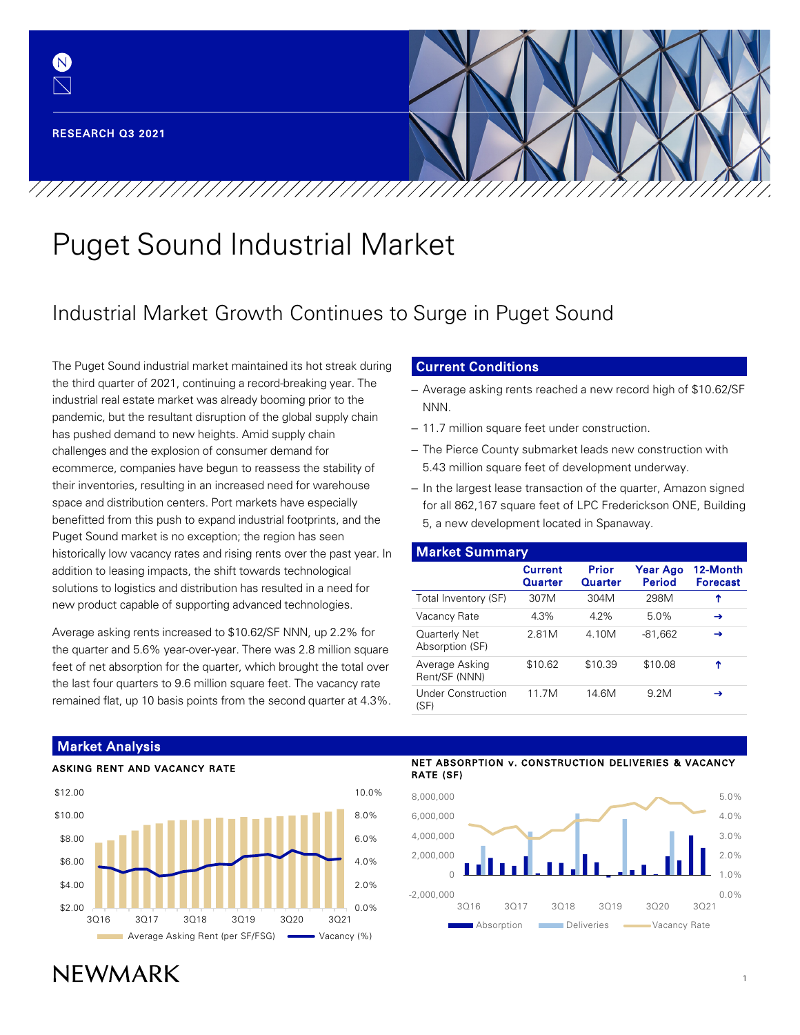(N)

# Puget Sound Industrial Market

/////////////////////////////////////

## Industrial Market Growth Continues to Surge in Puget Sound

The Puget Sound industrial market maintained its hot streak during the third quarter of 2021, continuing a record-breaking year. The industrial real estate market was already booming prior to the pandemic, but the resultant disruption of the global supply chain has pushed demand to new heights. Amid supply chain challenges and the explosion of consumer demand for ecommerce, companies have begun to reassess the stability of their inventories, resulting in an increased need for warehouse space and distribution centers. Port markets have especially benefitted from this push to expand industrial footprints, and the Puget Sound market is no exception; the region has seen historically low vacancy rates and rising rents over the past year. In addition to leasing impacts, the shift towards technological solutions to logistics and distribution has resulted in a need for new product capable of supporting advanced technologies.

Average asking rents increased to \$10.62/SF NNN, up 2.2% for the quarter and 5.6% year-over-year. There was 2.8 million square feet of net absorption for the quarter, which brought the total over the last four quarters to 9.6 million square feet. The vacancy rate remained flat, up 10 basis points from the second quarter at 4.3%.

## Current Conditions

- Average asking rents reached a new record high of \$10.62/SF NNN.
- 11.7 million square feet under construction.
- The Pierce County submarket leads new construction with 5.43 million square feet of development underway.
- In the largest lease transaction of the quarter, Amazon signed for all 862,167 square feet of LPC Frederickson ONE, Building 5, a new development located in Spanaway.

| <b>Market Summary</b>             |                           |                  |                           |                             |  |
|-----------------------------------|---------------------------|------------------|---------------------------|-----------------------------|--|
|                                   | <b>Current</b><br>Quarter | Prior<br>Quarter | Year Ago<br><b>Period</b> | 12-Month<br><b>Forecast</b> |  |
| Total Inventory (SF)              | 307M                      | 304M             | 298M                      | ↑                           |  |
| Vacancy Rate                      | 4.3%                      | 42%              | 5.0%                      | →                           |  |
| Quarterly Net<br>Absorption (SF)  | 2.81M                     | 4.10M            | $-81,662$                 | →                           |  |
| Average Asking<br>Rent/SF (NNN)   | \$10.62                   | \$10.39          | \$10.08                   | ↑                           |  |
| <b>Under Construction</b><br>(SF) | 11 7M                     | 14.6M            | 9.2M                      | →                           |  |



#### NET ABSORPTION v. CONSTRUCTION DELIVERIES & VACANCY RATE (SF)



## **NFWMARK**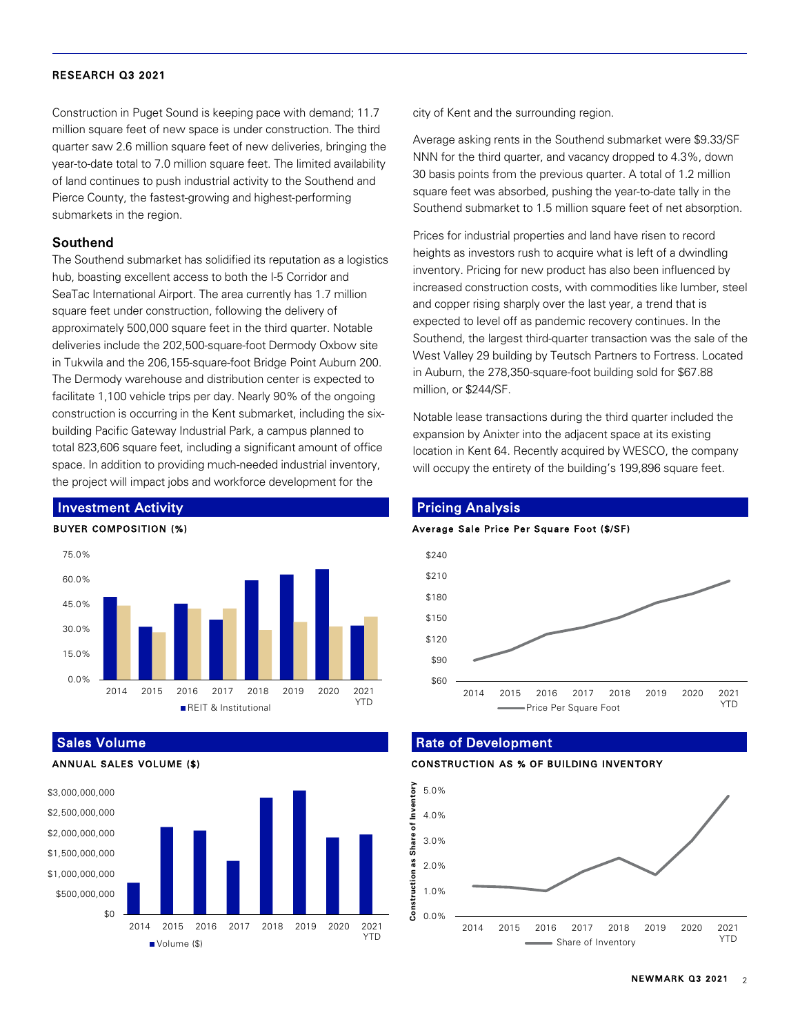Construction in Puget Sound is keeping pace with demand; 11.7 million square feet of new space is under construction. The third quarter saw 2.6 million square feet of new deliveries, bringing the year-to-date total to 7.0 million square feet. The limited availability of land continues to push industrial activity to the Southend and Pierce County, the fastest-growing and highest-performing submarkets in the region.

#### Southend

The Southend submarket has solidified its reputation as a logistics hub, boasting excellent access to both the I-5 Corridor and SeaTac International Airport. The area currently has 1.7 million square feet under construction, following the delivery of approximately 500,000 square feet in the third quarter. Notable deliveries include the 202,500-square-foot Dermody Oxbow site in Tukwila and the 206,155-square-foot Bridge Point Auburn 200. The Dermody warehouse and distribution center is expected to facilitate 1,100 vehicle trips per day. Nearly 90% of the ongoing construction is occurring in the Kent submarket, including the sixbuilding Pacific Gateway Industrial Park, a campus planned to total 823,606 square feet, including a significant amount of office space. In addition to providing much-needed industrial inventory, the project will impact jobs and workforce development for the



Sales Volume





city of Kent and the surrounding region.

Average asking rents in the Southend submarket were \$9.33/SF NNN for the third quarter, and vacancy dropped to 4.3%, down 30 basis points from the previous quarter. A total of 1.2 million square feet was absorbed, pushing the year-to-date tally in the Southend submarket to 1.5 million square feet of net absorption.

Prices for industrial properties and land have risen to record heights as investors rush to acquire what is left of a dwindling inventory. Pricing for new product has also been influenced by increased construction costs, with commodities like lumber, steel and copper rising sharply over the last year, a trend that is expected to level off as pandemic recovery continues. In the Southend, the largest third-quarter transaction was the sale of the West Valley 29 building by Teutsch Partners to Fortress. Located in Auburn, the 278,350-square-foot building sold for \$67.88 million, or \$244/SF.

Notable lease transactions during the third quarter included the expansion by Anixter into the adjacent space at its existing location in Kent 64. Recently acquired by WESCO, the company will occupy the entirety of the building's 199,896 square feet.

## Pricing Analysis

#### Average Sale Price Per Square Foot (\$/SF)



#### Rate of Development



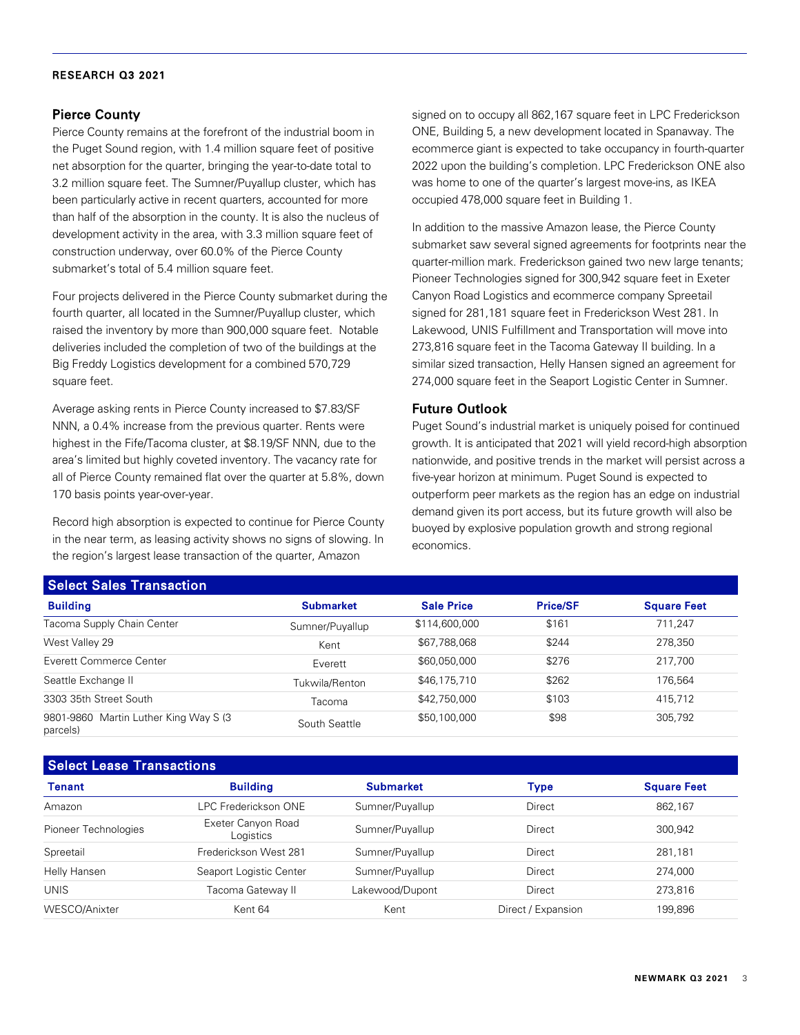## Pierce County

Pierce County remains at the forefront of the industrial boom in the Puget Sound region, with 1.4 million square feet of positive net absorption for the quarter, bringing the year-to-date total to 3.2 million square feet. The Sumner/Puyallup cluster, which has been particularly active in recent quarters, accounted for more than half of the absorption in the county. It is also the nucleus of development activity in the area, with 3.3 million square feet of construction underway, over 60.0% of the Pierce County submarket's total of 5.4 million square feet.

Four projects delivered in the Pierce County submarket during the fourth quarter, all located in the Sumner/Puyallup cluster, which raised the inventory by more than 900,000 square feet. Notable deliveries included the completion of two of the buildings at the Big Freddy Logistics development for a combined 570,729 square feet.

Average asking rents in Pierce County increased to \$7.83/SF NNN, a 0.4% increase from the previous quarter. Rents were highest in the Fife/Tacoma cluster, at \$8.19/SF NNN, due to the area's limited but highly coveted inventory. The vacancy rate for all of Pierce County remained flat over the quarter at 5.8%, down 170 basis points year-over-year.

Record high absorption is expected to continue for Pierce County in the near term, as leasing activity shows no signs of slowing. In the region's largest lease transaction of the quarter, Amazon

signed on to occupy all 862,167 square feet in LPC Frederickson ONE, Building 5, a new development located in Spanaway. The ecommerce giant is expected to take occupancy in fourth-quarter 2022 upon the building's completion. LPC Frederickson ONE also was home to one of the quarter's largest move-ins, as IKEA occupied 478,000 square feet in Building 1.

In addition to the massive Amazon lease, the Pierce County submarket saw several signed agreements for footprints near the quarter-million mark. Frederickson gained two new large tenants; Pioneer Technologies signed for 300,942 square feet in Exeter Canyon Road Logistics and ecommerce company Spreetail signed for 281,181 square feet in Frederickson West 281. In Lakewood, UNIS Fulfillment and Transportation will move into 273,816 square feet in the Tacoma Gateway II building. In a similar sized transaction, Helly Hansen signed an agreement for 274,000 square feet in the Seaport Logistic Center in Sumner.

## Future Outlook

Puget Sound's industrial market is uniquely poised for continued growth. It is anticipated that 2021 will yield record-high absorption nationwide, and positive trends in the market will persist across a five-year horizon at minimum. Puget Sound is expected to outperform peer markets as the region has an edge on industrial demand given its port access, but its future growth will also be buoyed by explosive population growth and strong regional economics.

| <b>PODDED DATES TRANSACTION</b>                   |                  |                   |                 |                    |  |
|---------------------------------------------------|------------------|-------------------|-----------------|--------------------|--|
| <b>Building</b>                                   | <b>Submarket</b> | <b>Sale Price</b> | <b>Price/SF</b> | <b>Square Feet</b> |  |
| Tacoma Supply Chain Center                        | Sumner/Puyallup  | \$114,600,000     | \$161           | 711.247            |  |
| West Valley 29                                    | Kent             | \$67,788,068      | \$244           | 278,350            |  |
| Everett Commerce Center                           | Everett          | \$60,050,000      | \$276           | 217,700            |  |
| Seattle Exchange II                               | Tukwila/Renton   | \$46,175,710      | \$262           | 176.564            |  |
| 3303 35th Street South                            | Tacomal          | \$42,750,000      | \$103           | 415.712            |  |
| 9801-9860 Martin Luther King Way S (3<br>parcels) | South Seattle    | \$50,100,000      | \$98            | 305,792            |  |

## Select Lease Transactions

Select Sales Transaction

| <b>POIOUL EUGOU TRANSCOTOTO</b> |                                 |                  |                    |                    |  |
|---------------------------------|---------------------------------|------------------|--------------------|--------------------|--|
| Tenant                          | <b>Building</b>                 | <b>Submarket</b> | Type               | <b>Square Feet</b> |  |
| Amazon                          | LPC Frederickson ONE            | Sumner/Puyallup  | Direct             | 862,167            |  |
| Pioneer Technologies            | Exeter Canyon Road<br>Logistics | Sumner/Puyallup  | Direct             | 300,942            |  |
| Spreetail                       | Frederickson West 281           | Sumner/Puyallup  | Direct             | 281,181            |  |
| Helly Hansen                    | Seaport Logistic Center         | Sumner/Puyallup  | Direct             | 274.000            |  |
| <b>UNIS</b>                     | Tacoma Gateway II               | Lakewood/Dupont  | Direct             | 273,816            |  |
| WESCO/Anixter                   | Kent 64                         | Kent             | Direct / Expansion | 199.896            |  |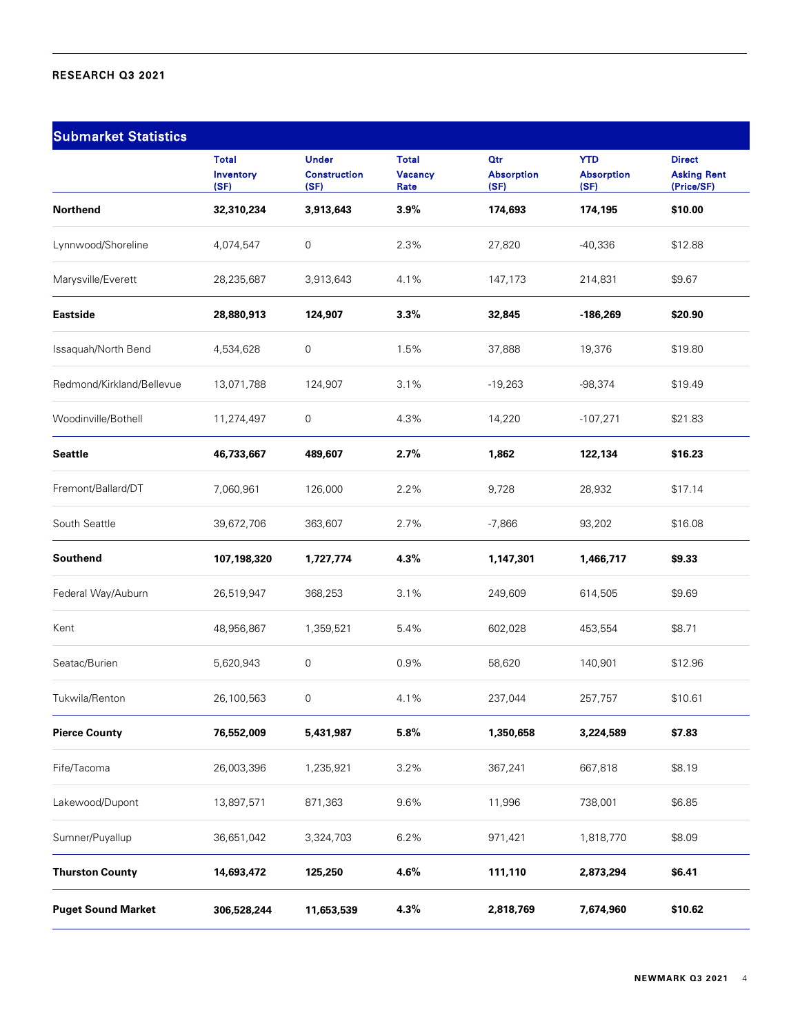| <b>Submarket Statistics</b> |                                   |                                             |                                 |                                         |                                         |                                                   |
|-----------------------------|-----------------------------------|---------------------------------------------|---------------------------------|-----------------------------------------|-----------------------------------------|---------------------------------------------------|
|                             | <b>Total</b><br>Inventory<br>(SF) | <b>Under</b><br><b>Construction</b><br>(SF) | <b>Total</b><br>Vacancy<br>Rate | <b>Qtr</b><br><b>Absorption</b><br>(SF) | <b>YTD</b><br><b>Absorption</b><br>(SF) | <b>Direct</b><br><b>Asking Rent</b><br>(Price/SF) |
| Northend                    | 32,310,234                        | 3,913,643                                   | 3.9%                            | 174,693                                 | 174,195                                 | \$10.00                                           |
| Lynnwood/Shoreline          | 4,074,547                         | 0                                           | 2.3%                            | 27,820                                  | $-40,336$                               | \$12.88                                           |
| Marysville/Everett          | 28,235,687                        | 3,913,643                                   | 4.1%                            | 147,173                                 | 214,831                                 | \$9.67                                            |
| <b>Eastside</b>             | 28,880,913                        | 124,907                                     | 3.3%                            | 32,845                                  | $-186,269$                              | \$20.90                                           |
| Issaquah/North Bend         | 4,534,628                         | 0                                           | 1.5%                            | 37,888                                  | 19,376                                  | \$19.80                                           |
| Redmond/Kirkland/Bellevue   | 13,071,788                        | 124,907                                     | 3.1%                            | $-19,263$                               | $-98,374$                               | \$19.49                                           |
| Woodinville/Bothell         | 11,274,497                        | 0                                           | 4.3%                            | 14,220                                  | $-107,271$                              | \$21.83                                           |
| <b>Seattle</b>              | 46,733,667                        | 489,607                                     | 2.7%                            | 1,862                                   | 122,134                                 | \$16.23                                           |
| Fremont/Ballard/DT          | 7,060,961                         | 126,000                                     | 2.2%                            | 9,728                                   | 28,932                                  | \$17.14                                           |
| South Seattle               | 39,672,706                        | 363,607                                     | 2.7%                            | $-7,866$                                | 93,202                                  | \$16.08                                           |
| Southend                    | 107,198,320                       | 1,727,774                                   | 4.3%                            | 1,147,301                               | 1,466,717                               | \$9.33                                            |
| Federal Way/Auburn          | 26,519,947                        | 368,253                                     | 3.1%                            | 249,609                                 | 614,505                                 | \$9.69                                            |
| Kent                        | 48,956,867                        | 1,359,521                                   | 5.4%                            | 602,028                                 | 453,554                                 | \$8.71                                            |
| Seatac/Burien               | 5,620,943                         | 0                                           | 0.9%                            | 58,620                                  | 140,901                                 | \$12.96                                           |
| Tukwila/Renton              | 26,100,563                        | 0                                           | 4.1%                            | 237,044                                 | 257,757                                 | \$10.61                                           |
| <b>Pierce County</b>        | 76,552,009                        | 5,431,987                                   | 5.8%                            | 1,350,658                               | 3,224,589                               | \$7.83                                            |
| Fife/Tacoma                 | 26,003,396                        | 1,235,921                                   | 3.2%                            | 367,241                                 | 667,818                                 | \$8.19                                            |
| Lakewood/Dupont             | 13,897,571                        | 871,363                                     | 9.6%                            | 11,996                                  | 738,001                                 | \$6.85                                            |
| Sumner/Puyallup             | 36,651,042                        | 3,324,703                                   | 6.2%                            | 971,421                                 | 1,818,770                               | \$8.09                                            |
| <b>Thurston County</b>      | 14,693,472                        | 125,250                                     | 4.6%                            | 111,110                                 | 2,873,294                               | \$6.41                                            |
| <b>Puget Sound Market</b>   | 306,528,244                       | 11,653,539                                  | 4.3%                            | 2,818,769                               | 7,674,960                               | \$10.62                                           |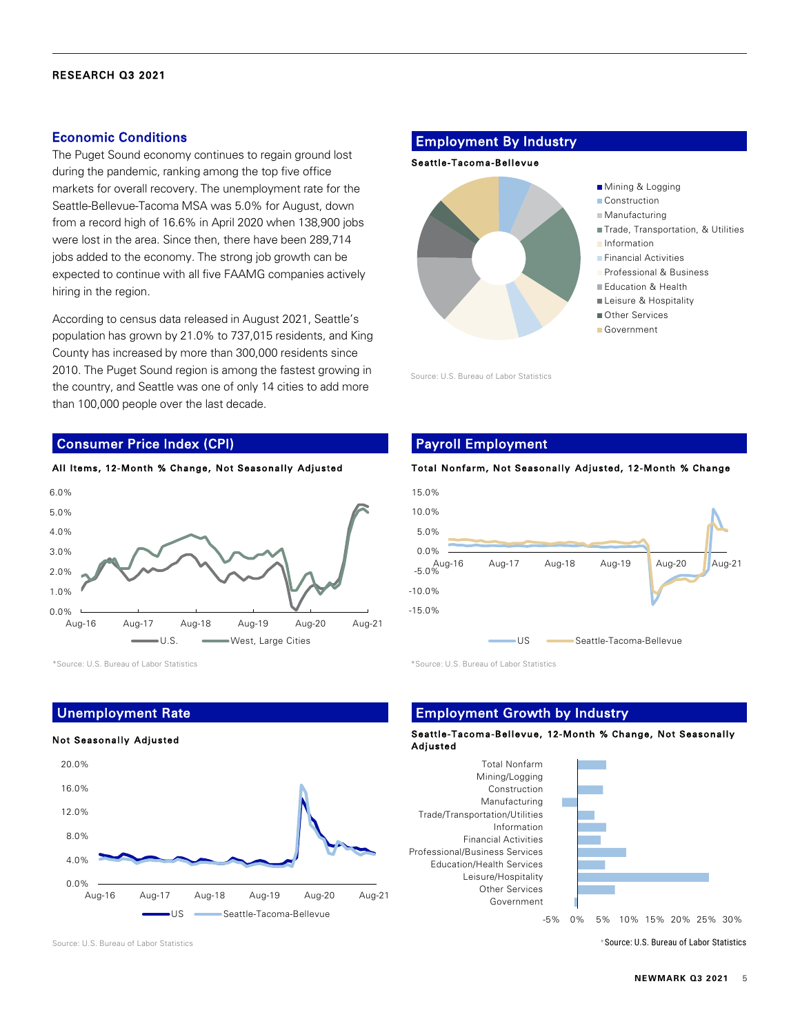### Economic Conditions

The Puget Sound economy continues to regain ground lost during the pandemic, ranking among the top five office markets for overall recovery. The unemployment rate for the Seattle-Bellevue-Tacoma MSA was 5.0% for August, down from a record high of 16.6% in April 2020 when 138,900 jobs were lost in the area. Since then, there have been 289,714 jobs added to the economy. The strong job growth can be expected to continue with all five FAAMG companies actively hiring in the region.

According to census data released in August 2021, Seattle's population has grown by 21.0% to 737,015 residents, and King County has increased by more than 300,000 residents since 2010. The Puget Sound region is among the fastest growing in the country, and Seattle was one of only 14 cities to add more than 100,000 people over the last decade.

#### Consumer Price Index (CPI)



\*Source: U.S. Bureau of Labor Statistics \*Source: U.S. Bureau of Labor Statistics

## Unemployment Rate

#### Not Seasonally Adjusted



Employment By Industry

#### Seattle-Tacoma-Bellevue



Source: U.S. Bureau of Labor Statistics

## Payroll Employment

#### Total Nonfarm, Not Seasonally Adjusted, 12-Month % Change



## Employment Growth by Industry

#### Seattle-Tacoma-Bellevue, 12-Month % Change, Not Seasonally Adjusted

Total Nonfarm Mining/Logging Construction Manufacturing Trade/Transportation/Utilities Information Financial Activities Professional/Business Services Education/Health Services Leisure/Hospitality Other Services Government



-5% 0% 5% 10% 15% 20% 25% 30%

Source: U.S. Bureau of Labor Statistics \*Source: U.S. Bureau of Labor Statistics \*